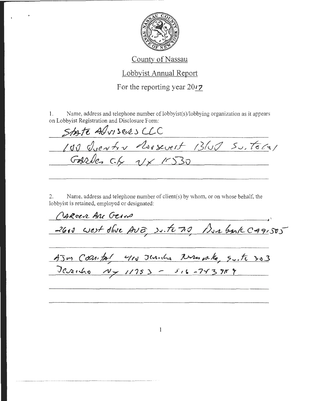

## County of Nassau

## Lobbyist Annual Report

For the reporting year 2017

1. Name, address and telephone number of lobbyist(s)/lobbying organization as it appears on Lobbyist Registration and Disclosure Form:

 $5$ *to te Au sees CCC* /d() *rdue/11-h -v* ~rr}Jeuerf- *!3fv(/* 5v;- \*C~/  $Gave$   $c.f. y \times 1530$ 

2. Name, address and telephone number of client(s) by whom, or on whose behalf, the lobbyist is retained, employed or designated:

CARCER ARC GEIVE *-<CJ* ~ v CJ~.)I- r/k~t. *;Jv 8'. 7* AJOB COMBY 410 Thanks New p.16, Suite 303

Terito Ny 11753 - 516-743919

 $\mathbf{1}$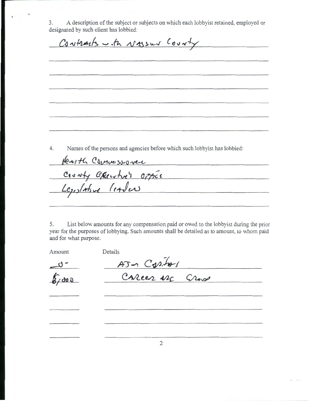3. A description of the subject or subjects on which each lobbyist retained, employed or designated by such client has lobbied:

Contracts with Nassur County 4. Names of the persons and agencies before which such lobbyist has lobbied: **lexith Commissioner** County Eperatre's Office Legislative leaders 5. List below amounts for any compensation paid or owed to the lobbyist during the prior year for the purposes of lobbying. Such amounts shall be detailed as to amount, to whom paid

and for what purpose.

Amount Details

- ئى\_  $6,000$ 

AJ an Capital

2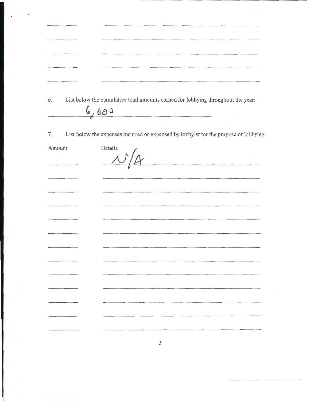| 6.                       | List below the cumulative total amounts earned for lobbying throughout the year:<br>6,000 |
|--------------------------|-------------------------------------------------------------------------------------------|
| $\overline{\phantom{0}}$ |                                                                                           |

7. List below the expenses incurred or expensed by lobbyist for the purpose of lobbying:

. .

I

| Amount | Details |
|--------|---------|
|        |         |
|        |         |

-

3